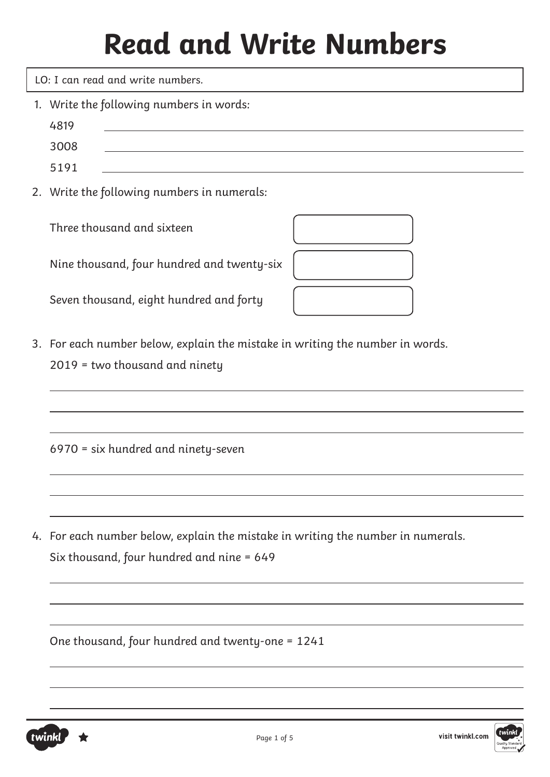LO: I can read and write numbers.

- 1. Write the following numbers in words:
	- 4819
		- 3008
		- 5191
- 2. Write the following numbers in numerals:

Three thousand and sixteen

Nine thousand, four hundred and twenty-six

Seven thousand, eight hundred and forty



3. For each number below, explain the mistake in writing the number in words. 2019 = two thousand and ninety

6970 = six hundred and ninety-seven

4. For each number below, explain the mistake in writing the number in numerals. Six thousand, four hundred and nine = 649

One thousand, four hundred and twenty-one = 1241

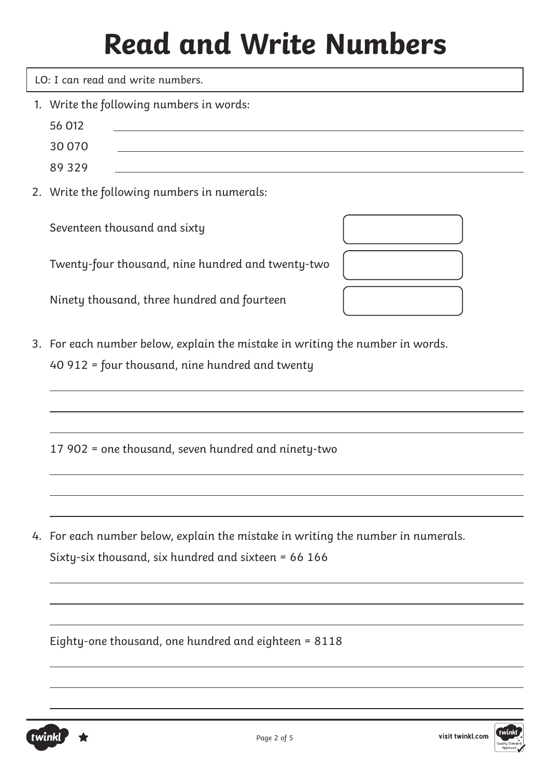LO: I can read and write numbers.

- 1. Write the following numbers in words:
- 56 012
- 30 070 89 329
- 2. Write the following numbers in numerals:

Seventeen thousand and sixty

Twenty-four thousand, nine hundred and twenty-two

Ninety thousand, three hundred and fourteen

- 
- 3. For each number below, explain the mistake in writing the number in words. 40 912 = four thousand, nine hundred and twenty

17 902 = one thousand, seven hundred and ninety-two

4. For each number below, explain the mistake in writing the number in numerals. Sixty-six thousand, six hundred and sixteen = 66 166

Eighty-one thousand, one hundred and eighteen = 8118



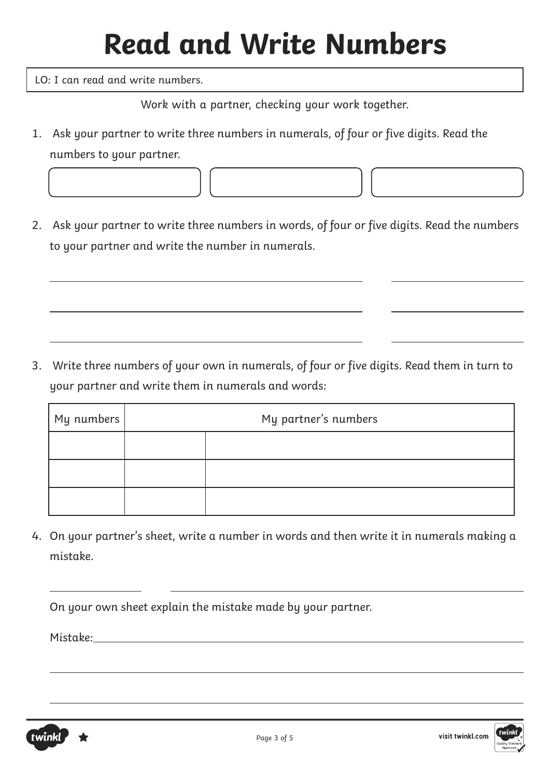LO: I can read and write numbers.

Work with a partner, checking your work together.

- 1. Ask your partner to write three numbers in numerals, of four or five digits. Read the numbers to your partner.
- 2. Ask your partner to write three numbers in words, of four or five digits. Read the numbers to your partner and write the number in numerals.

3. Write three numbers of your own in numerals, of four or five digits. Read them in turn to your partner and write them in numerals and words:

| My numbers | My partner's numbers |  |
|------------|----------------------|--|
|            |                      |  |
|            |                      |  |
|            |                      |  |

4. On your partner's sheet, write a number in words and then write it in numerals making a mistake.

On your own sheet explain the mistake made by your partner.

Mistake:

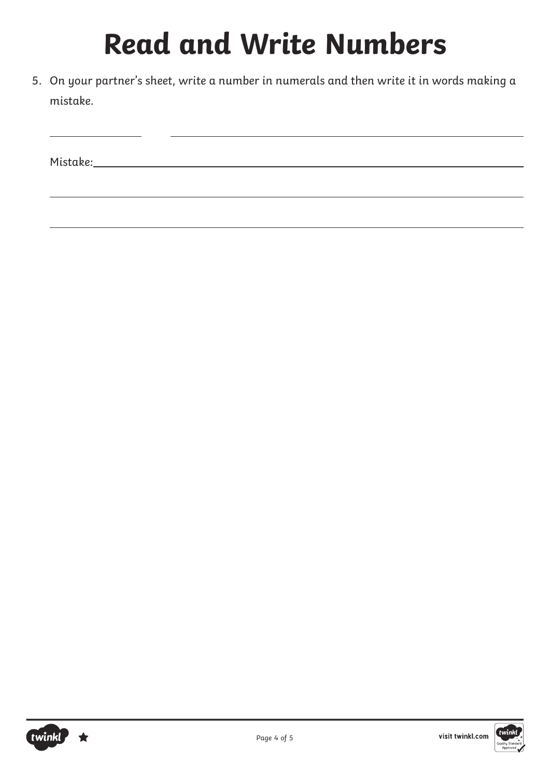5. On your partner's sheet, write a number in numerals and then write it in words making a mistake.

Mistake: Nistake: Nistake: Nistake: Nistake: Nistake: Nistake: Nistake: Nistake: Nistake: Nistake: Nistake: Nistake: Nistake: Nistake: Nistake: Nistake: Nistake: Nistake: Nistake: Nistake: Nistake: Nistake: Nistake: Nistak



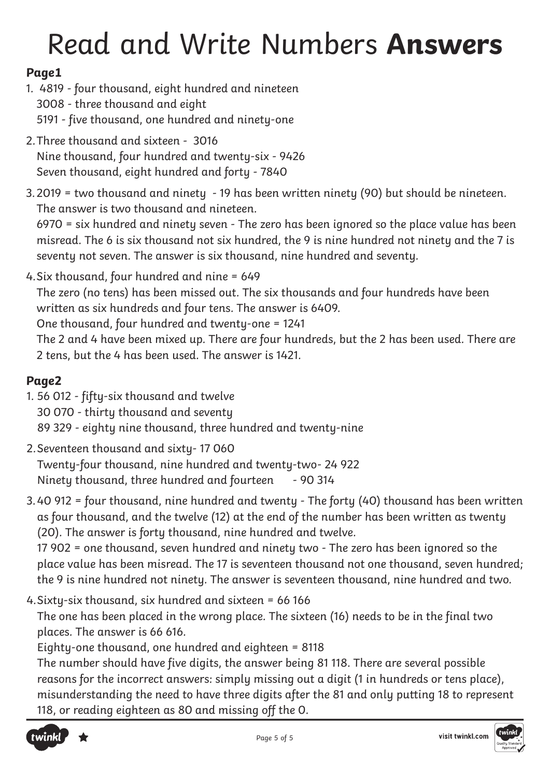# Read and Write Numbers **Answers**

#### **Page1**

- 1. 4819 four thousand, eight hundred and nineteen 3008 - three thousand and eight 5191 - five thousand, one hundred and ninety-one
- 2.Three thousand and sixteen 3016 Nine thousand, four hundred and twenty-six - 9426 Seven thousand, eight hundred and forty - 7840
- 3.2019 = two thousand and ninety 19 has been written ninety (90) but should be nineteen. The answer is two thousand and nineteen.

6970 = six hundred and ninety seven - The zero has been ignored so the place value has been misread. The 6 is six thousand not six hundred, the 9 is nine hundred not ninety and the 7 is seventy not seven. The answer is six thousand, nine hundred and seventy.

4.Six thousand, four hundred and nine = 649 The zero (no tens) has been missed out. The six thousands and four hundreds have been written as six hundreds and four tens. The answer is 6409. One thousand, four hundred and twenty-one = 1241 The 2 and 4 have been mixed up. There are four hundreds, but the 2 has been used. There are 2 tens, but the 4 has been used. The answer is 1421.

#### **Page2**

- 1. 56 012 fifty-six thousand and twelve 30 070 - thirty thousand and seventy 89 329 - eighty nine thousand, three hundred and twenty-nine
- 2.Seventeen thousand and sixty- 17 060 Twenty-four thousand, nine hundred and twenty-two- 24 922 Ninety thousand, three hundred and fourteen - 90 314
- 3.40 912 = four thousand, nine hundred and twenty The forty (40) thousand has been written as four thousand, and the twelve (12) at the end of the number has been written as twenty (20). The answer is forty thousand, nine hundred and twelve. 17 902 = one thousand, seven hundred and ninety two - The zero has been ignored so the

place value has been misread. The 17 is seventeen thousand not one thousand, seven hundred; the 9 is nine hundred not ninety. The answer is seventeen thousand, nine hundred and two.

4.Sixty-six thousand, six hundred and sixteen = 66 166

The one has been placed in the wrong place. The sixteen (16) needs to be in the final two places. The answer is 66 616.

Eighty-one thousand, one hundred and eighteen = 8118

The number should have five digits, the answer being 81 118. There are several possible reasons for the incorrect answers: simply missing out a digit (1 in hundreds or tens place), misunderstanding the need to have three digits after the 81 and only putting 18 to represent 118, or reading eighteen as 80 and missing off the 0.



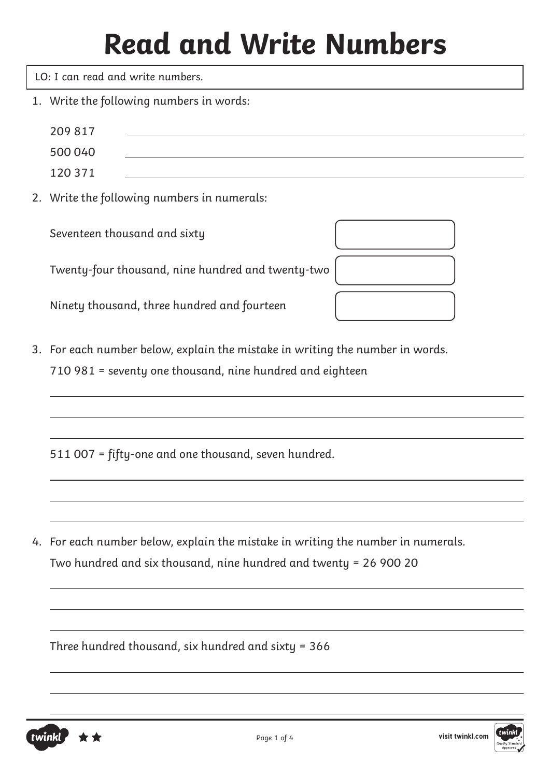LO: I can read and write numbers.

1. Write the following numbers in words:

| 209 817<br>500 040<br>120 371                                                                                                                         |
|-------------------------------------------------------------------------------------------------------------------------------------------------------|
| 2. Write the following numbers in numerals:                                                                                                           |
| Seventeen thousand and sixty                                                                                                                          |
| Twenty-four thousand, nine hundred and twenty-two                                                                                                     |
| Ninety thousand, three hundred and fourteen                                                                                                           |
| 3. For each number below, explain the mistake in writing the number in words.<br>710 981 = seventy one thousand, nine hundred and eighteen            |
| 511 007 = fifty-one and one thousand, seven hundred.                                                                                                  |
| 4. For each number below, explain the mistake in writing the number in numerals.<br>Two hundred and six thousand, nine hundred and twenty = 26 900 20 |
| Three hundred thousand, six hundred and sixty = 366                                                                                                   |



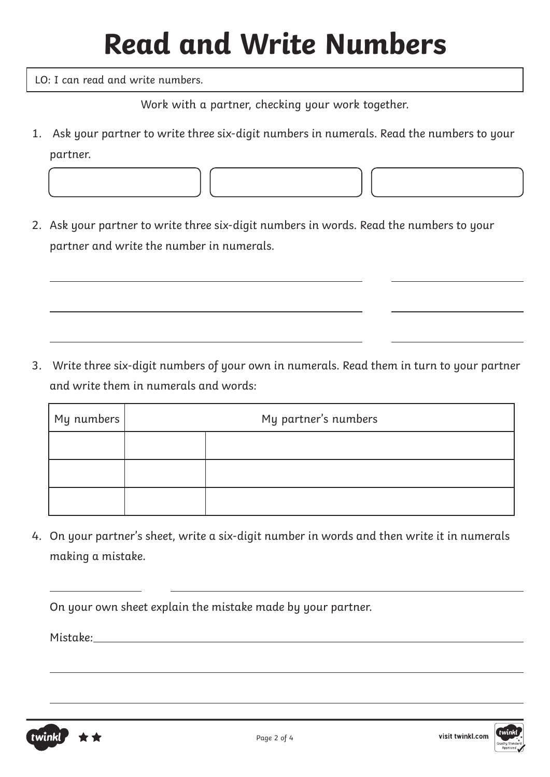LO: I can read and write numbers.

Work with a partner, checking your work together.

- 1. Ask your partner to write three six-digit numbers in numerals. Read the numbers to your partner.
- 2. Ask your partner to write three six-digit numbers in words. Read the numbers to your partner and write the number in numerals.

3. Write three six-digit numbers of your own in numerals. Read them in turn to your partner and write them in numerals and words:

| My numbers | My partner's numbers |  |
|------------|----------------------|--|
|            |                      |  |
|            |                      |  |
|            |                      |  |

4. On your partner's sheet, write a six-digit number in words and then write it in numerals making a mistake.

On your own sheet explain the mistake made by your partner.

Mistake:



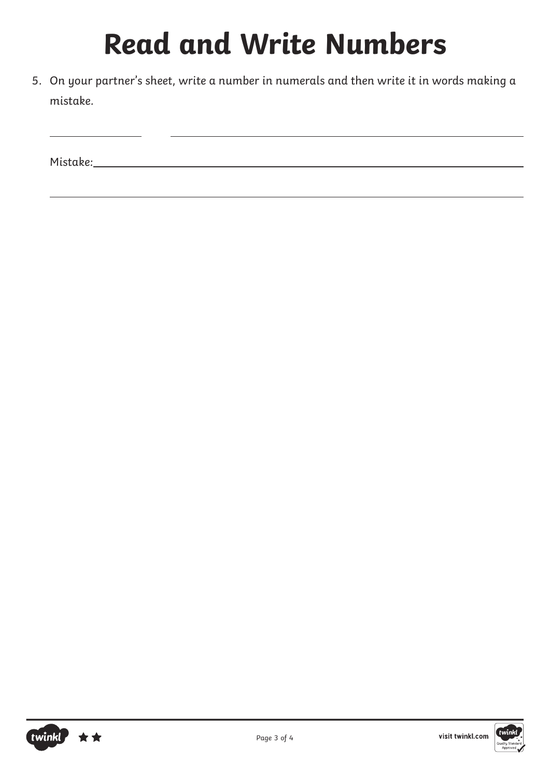5. On your partner's sheet, write a number in numerals and then write it in words making a mistake.

Mistake: Nistake: Nistake: Nistake: Nistake: Nistake: Nistake: Nistake: Nistake: Nistake: Nistake: Nistake: Nistake: Nistake: Nistake: Nistake: Nistake: Nistake: Nistake: Nistake: Nistake: Nistake: Nistake: Nistake: Nistak



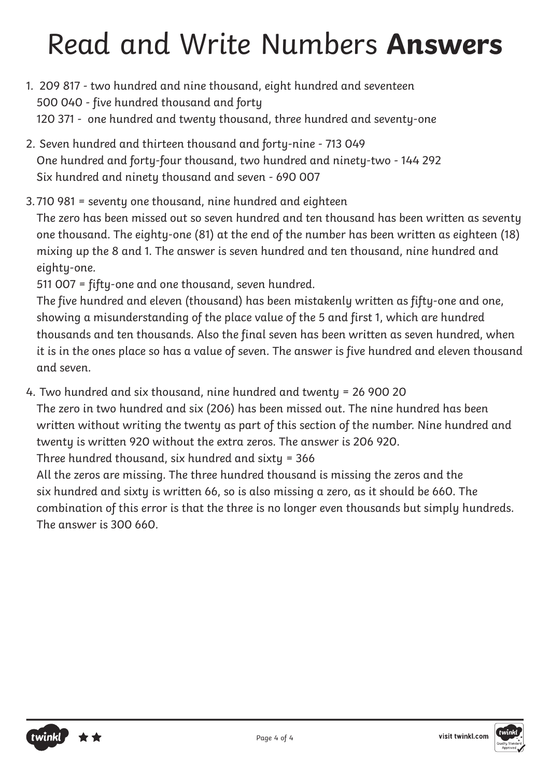### Read and Write Numbers **Answers**

- 1. 209 817 two hundred and nine thousand, eight hundred and seventeen 500 040 - five hundred thousand and forty 120 371 - one hundred and twenty thousand, three hundred and seventy-one
- 2. Seven hundred and thirteen thousand and forty-nine 713 049 One hundred and forty-four thousand, two hundred and ninety-two - 144 292 Six hundred and ninety thousand and seven - 690 007
- 3. 710 981 = seventy one thousand, nine hundred and eighteen

The zero has been missed out so seven hundred and ten thousand has been written as seventy one thousand. The eighty-one (81) at the end of the number has been written as eighteen (18) mixing up the 8 and 1. The answer is seven hundred and ten thousand, nine hundred and eighty-one.

511 007 = fifty-one and one thousand, seven hundred.

The five hundred and eleven (thousand) has been mistakenly written as fifty-one and one, showing a misunderstanding of the place value of the 5 and first 1, which are hundred thousands and ten thousands. Also the final seven has been written as seven hundred, when it is in the ones place so has a value of seven. The answer is five hundred and eleven thousand and seven.

4. Two hundred and six thousand, nine hundred and twenty = 26 900 20

The zero in two hundred and six (206) has been missed out. The nine hundred has been written without writing the twenty as part of this section of the number. Nine hundred and twenty is written 920 without the extra zeros. The answer is 206 920.

Three hundred thousand, six hundred and sixty = 366

All the zeros are missing. The three hundred thousand is missing the zeros and the six hundred and sixty is written 66, so is also missing a zero, as it should be 660. The combination of this error is that the three is no longer even thousands but simply hundreds. The answer is 300 660.



visit twinkl.com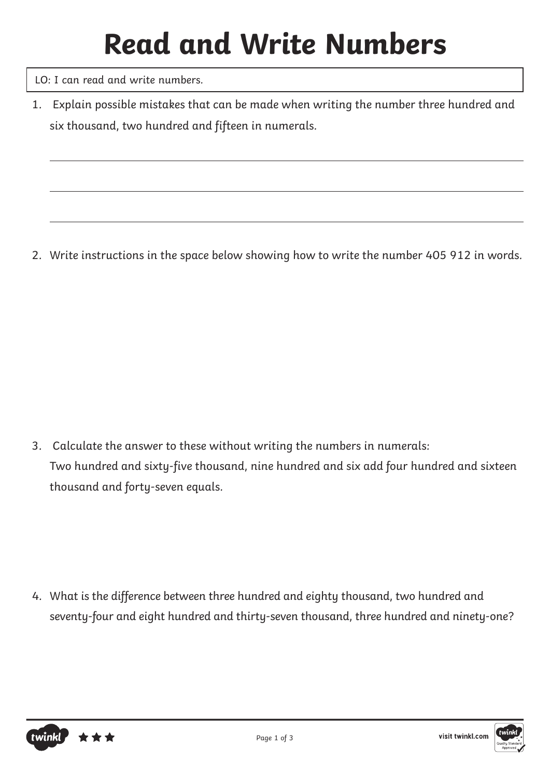LO: I can read and write numbers.

1. Explain possible mistakes that can be made when writing the number three hundred and six thousand, two hundred and fifteen in numerals.

2. Write instructions in the space below showing how to write the number 405 912 in words.

3. Calculate the answer to these without writing the numbers in numerals: Two hundred and sixty-five thousand, nine hundred and six add four hundred and sixteen thousand and forty-seven equals.

4. What is the difference between three hundred and eighty thousand, two hundred and seventy-four and eight hundred and thirty-seven thousand, three hundred and ninety-one?



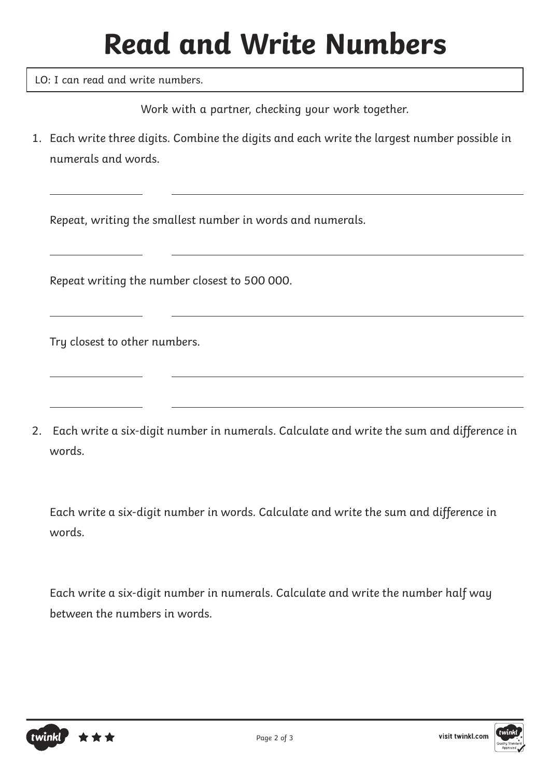LO: I can read and write numbers.

Work with a partner, checking your work together.

1. Each write three digits. Combine the digits and each write the largest number possible in numerals and words.

Repeat, writing the smallest number in words and numerals.

Repeat writing the number closest to 500 000.

Try closest to other numbers.

2. Each write a six-digit number in numerals. Calculate and write the sum and difference in words.

Each write a six-digit number in words. Calculate and write the sum and difference in words.

Each write a six-digit number in numerals. Calculate and write the number half way between the numbers in words.